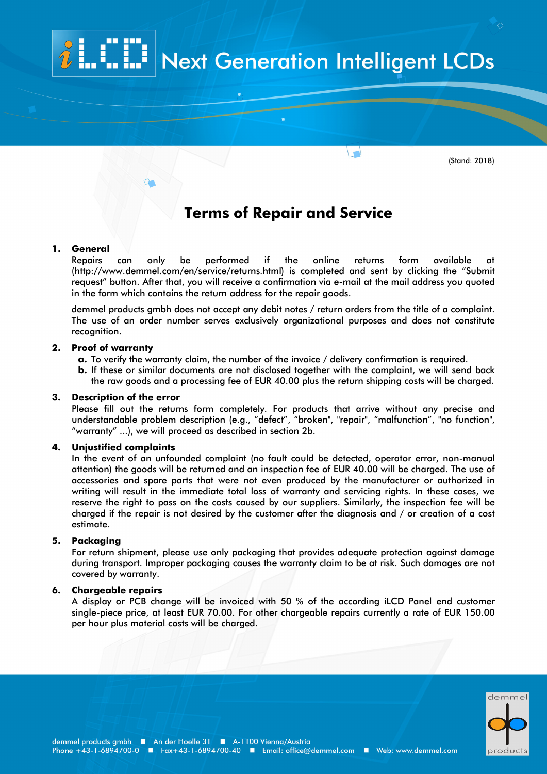# **Next Generation Intelligent LCDs**

 $\sqrt{2}$ 

(Stand: 2018)

## **Terms of Repair and Service**

#### **1. General**

Repairs can only be performed if the online returns form available at [\(http://www.demmel.com/en/service/returns.html\)](http://www.demmel.com/en/service/returns.html) is completed and sent by clicking the "Submit request" button. After that, you will receive a confirmation via e-mail at the mail address you quoted in the form which contains the return address for the repair goods.

demmel products gmbh does not accept any debit notes / return orders from the title of a complaint. The use of an order number serves exclusively organizational purposes and does not constitute recognition.

#### **2. Proof of warranty**

- **a.** To verify the warranty claim, the number of the invoice / delivery confirmation is required.
- **b.** If these or similar documents are not disclosed together with the complaint, we will send back the raw goods and a processing fee of EUR 40.00 plus the return shipping costs will be charged.

#### **3. Description of the error**

Please fill out the returns form completely. For products that arrive without any precise and understandable problem description (e.g., "defect", "broken", "repair", "malfunction", "no function", "warranty" ...), we will proceed as described in section 2b.

#### **4. Unjustified complaints**

In the event of an unfounded complaint (no fault could be detected, operator error, non-manual attention) the goods will be returned and an inspection fee of EUR 40.00 will be charged. The use of accessories and spare parts that were not even produced by the manufacturer or authorized in writing will result in the immediate total loss of warranty and servicing rights. In these cases, we reserve the right to pass on the costs caused by our suppliers. Similarly, the inspection fee will be charged if the repair is not desired by the customer after the diagnosis and / or creation of a cost estimate.

#### **5. Packaging**

For return shipment, please use only packaging that provides adequate protection against damage during transport. Improper packaging causes the warranty claim to be at risk. Such damages are not covered by warranty.

#### **6. Chargeable repairs**

A display or PCB change will be invoiced with 50 % of the according iLCD Panel end customer single-piece price, at least EUR 70.00. For other chargeable repairs currently a rate of EUR 150.00 per hour plus material costs will be charged.